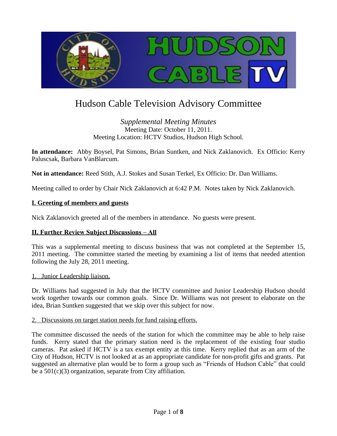

# Hudson Cable Television Advisory Committee

## *Supplemental Meeting Minutes* Meeting Date: October 11, 2011. Meeting Location: HCTV Studios, Hudson High School.

**In attendance:** Abby Boysel, Pat Simons, Brian Suntken, and Nick Zaklanovich. Ex Officio: Kerry Paluscsak, Barbara VanBlarcum.

**Not in attendance:** Reed Stith, A.J. Stokes and Susan Terkel, Ex Officio: Dr. Dan Williams.

Meeting called to order by Chair Nick Zaklanovich at 6:42 P.M. Notes taken by Nick Zaklanovich.

## **I. Greeting of members and guests**

Nick Zaklanovich greeted all of the members in attendance. No guests were present.

#### **II. Further Review Subject Discussions – All**

This was a supplemental meeting to discuss business that was not completed at the September 15, 2011 meeting. The committee started the meeting by examining a list of items that needed attention following the July 28, 2011 meeting.

#### 1. Junior Leadership liaison.

Dr. Williams had suggested in July that the HCTV committee and Junior Leadership Hudson should work together towards our common goals. Since Dr. Williams was not present to elaborate on the idea, Brian Suntken suggested that we skip over this subject for now.

#### 2. Discussions on target station needs for fund raising efforts.

The committee discussed the needs of the station for which the committee may be able to help raise funds. Kerry stated that the primary station need is the replacement of the existing four studio cameras. Pat asked if HCTV is a tax exempt entity at this time. Kerry replied that as an arm of the City of Hudson, HCTV is not looked at as an appropriate candidate for non-profit gifts and grants. Pat suggested an alternative plan would be to form a group such as "Friends of Hudson Cable" that could be a 501(c)(3) organization, separate from City affiliation.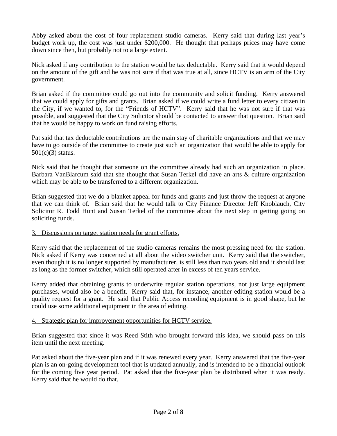Abby asked about the cost of four replacement studio cameras. Kerry said that during last year's budget work up, the cost was just under \$200,000. He thought that perhaps prices may have come down since then, but probably not to a large extent.

Nick asked if any contribution to the station would be tax deductable. Kerry said that it would depend on the amount of the gift and he was not sure if that was true at all, since HCTV is an arm of the City government.

Brian asked if the committee could go out into the community and solicit funding. Kerry answered that we could apply for gifts and grants. Brian asked if we could write a fund letter to every citizen in the City, if we wanted to, for the "Friends of HCTV". Kerry said that he was not sure if that was possible, and suggested that the City Solicitor should be contacted to answer that question. Brian said that he would be happy to work on fund raising efforts.

Pat said that tax deductable contributions are the main stay of charitable organizations and that we may have to go outside of the committee to create just such an organization that would be able to apply for 501(c)(3) status.

Nick said that he thought that someone on the committee already had such an organization in place. Barbara VanBlarcum said that she thought that Susan Terkel did have an arts & culture organization which may be able to be transferred to a different organization.

Brian suggested that we do a blanket appeal for funds and grants and just throw the request at anyone that we can think of. Brian said that he would talk to City Finance Director Jeff Knoblauch, City Solicitor R. Todd Hunt and Susan Terkel of the committee about the next step in getting going on soliciting funds.

#### 3. Discussions on target station needs for grant efforts.

Kerry said that the replacement of the studio cameras remains the most pressing need for the station. Nick asked if Kerry was concerned at all about the video switcher unit. Kerry said that the switcher, even though it is no longer supported by manufacturer, is still less than two years old and it should last as long as the former switcher, which still operated after in excess of ten years service.

Kerry added that obtaining grants to underwrite regular station operations, not just large equipment purchases, would also be a benefit. Kerry said that, for instance, another editing station would be a quality request for a grant. He said that Public Access recording equipment is in good shape, but he could use some additional equipment in the area of editing.

#### 4. Strategic plan for improvement opportunities for HCTV service.

Brian suggested that since it was Reed Stith who brought forward this idea, we should pass on this item until the next meeting.

Pat asked about the five-year plan and if it was renewed every year. Kerry answered that the five-year plan is an on-going development tool that is updated annually, and is intended to be a financial outlook for the coming five year period. Pat asked that the five-year plan be distributed when it was ready. Kerry said that he would do that.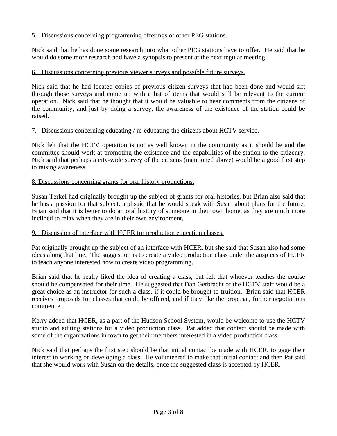# 5. Discussions concerning programming offerings of other PEG stations.

Nick said that he has done some research into what other PEG stations have to offer. He said that he would do some more research and have a synopsis to present at the next regular meeting.

## 6. Discussions concerning previous viewer surveys and possible future surveys.

Nick said that he had located copies of previous citizen surveys that had been done and would sift through those surveys and come up with a list of items that would still be relevant to the current operation. Nick said that he thought that it would be valuable to hear comments from the citizens of the community, and just by doing a survey, the awareness of the existence of the station could be raised.

#### 7. Discussions concerning educating / re-educating the citizens about HCTV service.

Nick felt that the HCTV operation is not as well known in the community as it should be and the committee should work at promoting the existence and the capabilities of the station to the citizenry. Nick said that perhaps a city-wide survey of the citizens (mentioned above) would be a good first step to raising awareness.

## 8. Discussions concerning grants for oral history productions.

Susan Terkel had originally brought up the subject of grants for oral histories, but Brian also said that he has a passion for that subject, and said that he would speak with Susan about plans for the future. Brian said that it is better to do an oral history of someone in their own home, as they are much more inclined to relax when they are in their own environment.

#### 9. Discussion of interface with HCER for production education classes.

Pat originally brought up the subject of an interface with HCER, but she said that Susan also had some ideas along that line. The suggestion is to create a video production class under the auspices of HCER to teach anyone interested how to create video programming.

Brian said that he really liked the idea of creating a class, but felt that whoever teaches the course should be compensated for their time. He suggested that Dan Gerbracht of the HCTV staff would be a great choice as an instructor for such a class, if it could be brought to fruition. Brian said that HCER receives proposals for classes that could be offered, and if they like the proposal, further negotiations commence.

Kerry added that HCER, as a part of the Hudson School System, would be welcome to use the HCTV studio and editing stations for a video production class. Pat added that contact should be made with some of the organizations in town to get their members interested in a video production class.

Nick said that perhaps the first step should be that initial contact be made with HCER, to gage their interest in working on developing a class. He volunteered to make that initial contact and then Pat said that she would work with Susan on the details, once the suggested class is accepted by HCER.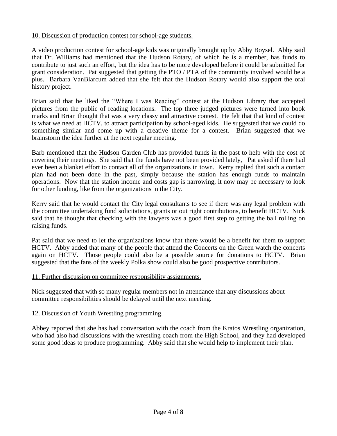# 10. Discussion of production contest for school-age students.

A video production contest for school-age kids was originally brought up by Abby Boysel. Abby said that Dr. Williams had mentioned that the Hudson Rotary, of which he is a member, has funds to contribute to just such an effort, but the idea has to be more developed before it could be submitted for grant consideration. Pat suggested that getting the PTO / PTA of the community involved would be a plus. Barbara VanBlarcum added that she felt that the Hudson Rotary would also support the oral history project.

Brian said that he liked the "Where I was Reading" contest at the Hudson Library that accepted pictures from the public of reading locations. The top three judged pictures were turned into book marks and Brian thought that was a very classy and attractive contest. He felt that that kind of contest is what we need at HCTV, to attract participation by school-aged kids. He suggested that we could do something similar and come up with a creative theme for a contest. Brian suggested that we brainstorm the idea further at the next regular meeting.

Barb mentioned that the Hudson Garden Club has provided funds in the past to help with the cost of covering their meetings. She said that the funds have not been provided lately, Pat asked if there had ever been a blanket effort to contact all of the organizations in town. Kerry replied that such a contact plan had not been done in the past, simply because the station has enough funds to maintain operations. Now that the station income and costs gap is narrowing, it now may be necessary to look for other funding, like from the organizations in the City.

Kerry said that he would contact the City legal consultants to see if there was any legal problem with the committee undertaking fund solicitations, grants or out right contributions, to benefit HCTV. Nick said that he thought that checking with the lawyers was a good first step to getting the ball rolling on raising funds.

Pat said that we need to let the organizations know that there would be a benefit for them to support HCTV. Abby added that many of the people that attend the Concerts on the Green watch the concerts again on HCTV. Those people could also be a possible source for donations to HCTV. Brian suggested that the fans of the weekly Polka show could also be good prospective contributors.

# 11. Further discussion on committee responsibility assignments.

Nick suggested that with so many regular members not in attendance that any discussions about committee responsibilities should be delayed until the next meeting.

# 12. Discussion of Youth Wrestling programming.

Abbey reported that she has had conversation with the coach from the Kratos Wrestling organization, who had also had discussions with the wrestling coach from the High School, and they had developed some good ideas to produce programming. Abby said that she would help to implement their plan.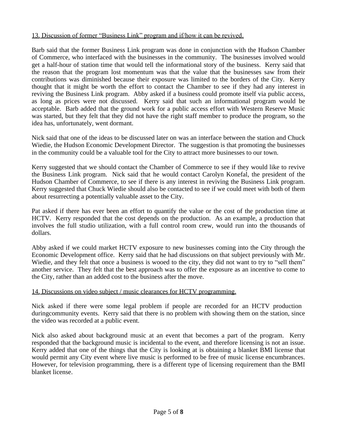# 13. Discussion of former "Business Link" program and if/how it can be revived.

Barb said that the former Business Link program was done in conjunction with the Hudson Chamber of Commerce, who interfaced with the businesses in the community. The businesses involved would get a half-hour of station time that would tell the informational story of the business. Kerry said that the reason that the program lost momentum was that the value that the businesses saw from their contributions was diminished because their exposure was limited to the borders of the City. Kerry thought that it might be worth the effort to contact the Chamber to see if they had any interest in reviving the Business Link program. Abby asked if a business could promote itself via public access, as long as prices were not discussed. Kerry said that such an informational program would be acceptable. Barb added that the ground work for a public access effort with Western Reserve Music was started, but they felt that they did not have the right staff member to produce the program, so the idea has, unfortunately, went dormant.

Nick said that one of the ideas to be discussed later on was an interface between the station and Chuck Wiedie, the Hudson Economic Development Director. The suggestion is that promoting the businesses in the community could be a valuable tool for the City to attract more businesses to our town.

Kerry suggested that we should contact the Chamber of Commerce to see if they would like to revive the Business Link program. Nick said that he would contact Carolyn Konefal, the president of the Hudson Chamber of Commerce, to see if there is any interest in reviving the Business Link program. Kerry suggested that Chuck Wiedie should also be contacted to see if we could meet with both of them about resurrecting a potentially valuable asset to the City.

Pat asked if there has ever been an effort to quantify the value or the cost of the production time at HCTV. Kerry responded that the cost depends on the production. As an example, a production that involves the full studio utilization, with a full control room crew, would run into the thousands of dollars.

Abby asked if we could market HCTV exposure to new businesses coming into the City through the Economic Development office. Kerry said that he had discussions on that subject previously with Mr. Wiedie, and they felt that once a business is wooed to the city, they did not want to try to "sell them" another service. They felt that the best approach was to offer the exposure as an incentive to come to the City, rather than an added cost to the business after the move.

#### 14. Discussions on video subject / music clearances for HCTV programming.

Nick asked if there were some legal problem if people are recorded for an HCTV production duringcommunity events. Kerry said that there is no problem with showing them on the station, since the video was recorded at a public event.

Nick also asked about background music at an event that becomes a part of the program. Kerry responded that the background music is incidental to the event, and therefore licensing is not an issue. Kerry added that one of the things that the City is looking at is obtaining a blanket BMI license that would permit any City event where live music is performed to be free of music license encumbrances. However, for television programming, there is a different type of licensing requirement than the BMI blanket license.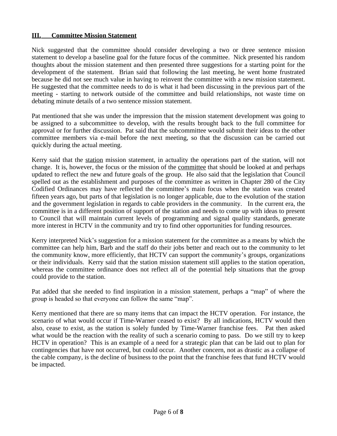## **III. Committee Mission Statement**

Nick suggested that the committee should consider developing a two or three sentence mission statement to develop a baseline goal for the future focus of the committee. Nick presented his random thoughts about the mission statement and then presented three suggestions for a starting point for the development of the statement. Brian said that following the last meeting, he went home frustrated because he did not see much value in having to reinvent the committee with a new mission statement. He suggested that the committee needs to do is what it had been discussing in the previous part of the meeting - starting to network outside of the committee and build relationships, not waste time on debating minute details of a two sentence mission statement.

Pat mentioned that she was under the impression that the mission statement development was going to be assigned to a subcommittee to develop, with the results brought back to the full committee for approval or for further discussion. Pat said that the subcommittee would submit their ideas to the other committee members via e-mail before the next meeting, so that the discussion can be carried out quickly during the actual meeting.

Kerry said that the station mission statement, in actuality the operations part of the station, will not change. It is, however, the focus or the mission of the committee that should be looked at and perhaps updated to reflect the new and future goals of the group. He also said that the legislation that Council spelled out as the establishment and purposes of the committee as written in Chapter 280 of the City Codified Ordinances may have reflected the committee's main focus when the station was created fifteen years ago, but parts of that legislation is no longer applicable, due to the evolution of the station and the government legislation in regards to cable providers in the community. In the current era, the committee is in a different position of support of the station and needs to come up with ideas to present to Council that will maintain current levels of programming and signal quality standards, generate more interest in HCTV in the community and try to find other opportunities for funding resources.

Kerry interpreted Nick's suggestion for a mission statement for the committee as a means by which the committee can help him, Barb and the staff do their jobs better and reach out to the community to let the community know, more efficiently, that HCTV can support the community's groups, organizations or their individuals. Kerry said that the station mission statement still applies to the station operation, whereas the committee ordinance does not reflect all of the potential help situations that the group could provide to the station.

Pat added that she needed to find inspiration in a mission statement, perhaps a "map" of where the group is headed so that everyone can follow the same "map".

Kerry mentioned that there are so many items that can impact the HCTV operation. For instance, the scenario of what would occur if Time-Warner ceased to exist? By all indications, HCTV would then also, cease to exist, as the station is solely funded by Time-Warner franchise fees. Pat then asked what would be the reaction with the reality of such a scenario coming to pass. Do we still try to keep HCTV in operation? This is an example of a need for a strategic plan that can be laid out to plan for contingencies that have not occurred, but could occur. Another concern, not as drastic as a collapse of the cable company, is the decline of business to the point that the franchise fees that fund HCTV would be impacted.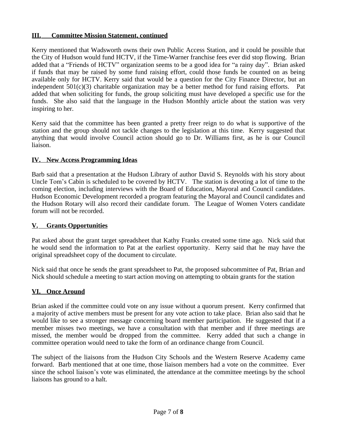# **III. Committee Mission Statement, continued**

Kerry mentioned that Wadsworth owns their own Public Access Station, and it could be possible that the City of Hudson would fund HCTV, if the Time-Warner franchise fees ever did stop flowing. Brian added that a "Friends of HCTV" organization seems to be a good idea for "a rainy day". Brian asked if funds that may be raised by some fund raising effort, could those funds be counted on as being available only for HCTV. Kerry said that would be a question for the City Finance Director, but an independent 501(c)(3) charitable organization may be a better method for fund raising efforts. Pat added that when soliciting for funds, the group soliciting must have developed a specific use for the funds. She also said that the language in the Hudson Monthly article about the station was very inspiring to her.

Kerry said that the committee has been granted a pretty freer reign to do what is supportive of the station and the group should not tackle changes to the legislation at this time. Kerry suggested that anything that would involve Council action should go to Dr. Williams first, as he is our Council liaison.

## **IV. New Access Programming Ideas**

Barb said that a presentation at the Hudson Library of author David S. Reynolds with his story about Uncle Tom's Cabin is scheduled to be covered by HCTV. The station is devoting a lot of time to the coming election, including interviews with the Board of Education, Mayoral and Council candidates. Hudson Economic Development recorded a program featuring the Mayoral and Council candidates and the Hudson Rotary will also record their candidate forum. The League of Women Voters candidate forum will not be recorded.

# **V. Grants Opportunities**

Pat asked about the grant target spreadsheet that Kathy Franks created some time ago. Nick said that he would send the information to Pat at the earliest opportunity. Kerry said that he may have the original spreadsheet copy of the document to circulate.

Nick said that once he sends the grant spreadsheet to Pat, the proposed subcommittee of Pat, Brian and Nick should schedule a meeting to start action moving on attempting to obtain grants for the station

# **VI. Once Around**

Brian asked if the committee could vote on any issue without a quorum present. Kerry confirmed that a majority of active members must be present for any vote action to take place. Brian also said that he would like to see a stronger message concerning board member participation. He suggested that if a member misses two meetings, we have a consultation with that member and if three meetings are missed, the member would be dropped from the committee. Kerry added that such a change in committee operation would need to take the form of an ordinance change from Council.

The subject of the liaisons from the Hudson City Schools and the Western Reserve Academy came forward. Barb mentioned that at one time, those liaison members had a vote on the committee. Ever since the school liaison's vote was eliminated, the attendance at the committee meetings by the school liaisons has ground to a halt.